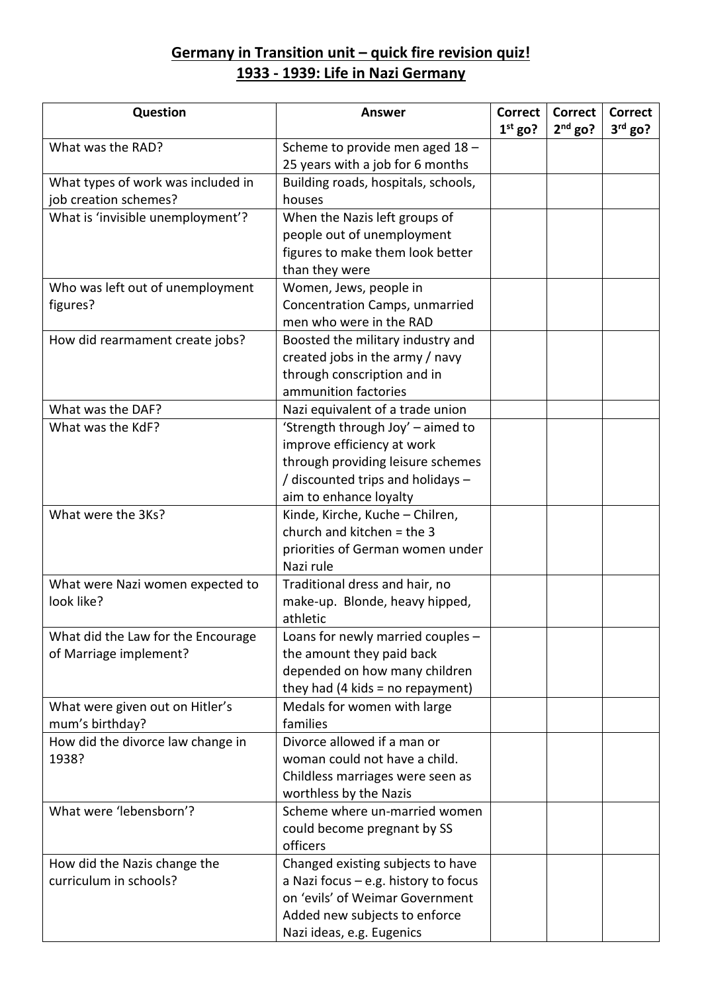## **Germany in Transition unit – quick fire revision quiz! 1933 - 1939: Life in Nazi Germany**

| Question                           | <b>Answer</b>                                              | <b>Correct</b><br>$1st$ go? | <b>Correct</b><br>$2nd$ go? | <b>Correct</b><br>$3rd$ go? |
|------------------------------------|------------------------------------------------------------|-----------------------------|-----------------------------|-----------------------------|
| What was the RAD?                  | Scheme to provide men aged 18 -                            |                             |                             |                             |
|                                    | 25 years with a job for 6 months                           |                             |                             |                             |
| What types of work was included in | Building roads, hospitals, schools,                        |                             |                             |                             |
| job creation schemes?              | houses                                                     |                             |                             |                             |
| What is 'invisible unemployment'?  | When the Nazis left groups of                              |                             |                             |                             |
|                                    | people out of unemployment                                 |                             |                             |                             |
|                                    | figures to make them look better                           |                             |                             |                             |
|                                    | than they were                                             |                             |                             |                             |
| Who was left out of unemployment   | Women, Jews, people in                                     |                             |                             |                             |
| figures?                           | Concentration Camps, unmarried                             |                             |                             |                             |
|                                    | men who were in the RAD                                    |                             |                             |                             |
| How did rearmament create jobs?    | Boosted the military industry and                          |                             |                             |                             |
|                                    | created jobs in the army / navy                            |                             |                             |                             |
|                                    | through conscription and in                                |                             |                             |                             |
|                                    | ammunition factories                                       |                             |                             |                             |
| What was the DAF?                  | Nazi equivalent of a trade union                           |                             |                             |                             |
| What was the KdF?                  | 'Strength through Joy' - aimed to                          |                             |                             |                             |
|                                    | improve efficiency at work                                 |                             |                             |                             |
|                                    | through providing leisure schemes                          |                             |                             |                             |
|                                    | / discounted trips and holidays -                          |                             |                             |                             |
|                                    | aim to enhance loyalty                                     |                             |                             |                             |
| What were the 3Ks?                 | Kinde, Kirche, Kuche - Chilren,                            |                             |                             |                             |
|                                    | church and kitchen $=$ the 3                               |                             |                             |                             |
|                                    | priorities of German women under                           |                             |                             |                             |
|                                    | Nazi rule                                                  |                             |                             |                             |
| What were Nazi women expected to   | Traditional dress and hair, no                             |                             |                             |                             |
| look like?                         | make-up. Blonde, heavy hipped,                             |                             |                             |                             |
|                                    | athletic                                                   |                             |                             |                             |
| What did the Law for the Encourage | Loans for newly married couples -                          |                             |                             |                             |
| of Marriage implement?             | the amount they paid back                                  |                             |                             |                             |
|                                    | depended on how many children                              |                             |                             |                             |
|                                    | they had $(4$ kids = no repayment)                         |                             |                             |                             |
| What were given out on Hitler's    | Medals for women with large                                |                             |                             |                             |
| mum's birthday?                    | families                                                   |                             |                             |                             |
| How did the divorce law change in  | Divorce allowed if a man or                                |                             |                             |                             |
| 1938?                              | woman could not have a child.                              |                             |                             |                             |
|                                    | Childless marriages were seen as<br>worthless by the Nazis |                             |                             |                             |
| What were 'lebensborn'?            | Scheme where un-married women                              |                             |                             |                             |
|                                    | could become pregnant by SS                                |                             |                             |                             |
|                                    | officers                                                   |                             |                             |                             |
| How did the Nazis change the       | Changed existing subjects to have                          |                             |                             |                             |
| curriculum in schools?             | a Nazi focus $-$ e.g. history to focus                     |                             |                             |                             |
|                                    | on 'evils' of Weimar Government                            |                             |                             |                             |
|                                    | Added new subjects to enforce                              |                             |                             |                             |
|                                    | Nazi ideas, e.g. Eugenics                                  |                             |                             |                             |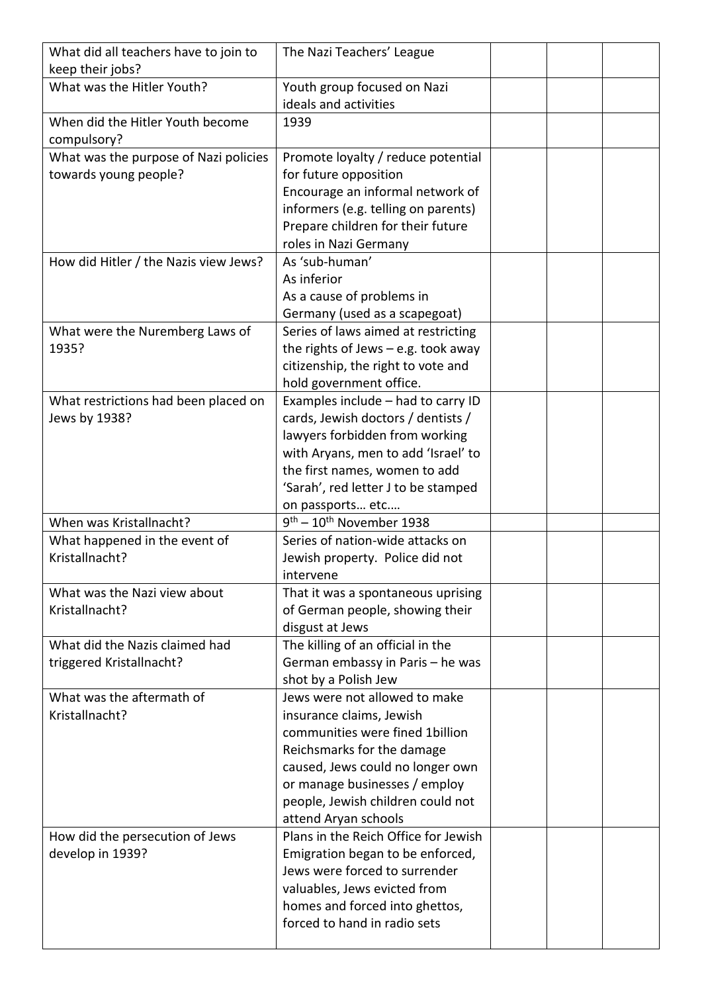| What did all teachers have to join to<br>keep their jobs?      | The Nazi Teachers' League                                                                                                                                                                                                                                    |  |  |
|----------------------------------------------------------------|--------------------------------------------------------------------------------------------------------------------------------------------------------------------------------------------------------------------------------------------------------------|--|--|
| What was the Hitler Youth?                                     | Youth group focused on Nazi<br>ideals and activities                                                                                                                                                                                                         |  |  |
| When did the Hitler Youth become<br>compulsory?                | 1939                                                                                                                                                                                                                                                         |  |  |
| What was the purpose of Nazi policies<br>towards young people? | Promote loyalty / reduce potential<br>for future opposition<br>Encourage an informal network of<br>informers (e.g. telling on parents)<br>Prepare children for their future                                                                                  |  |  |
| How did Hitler / the Nazis view Jews?                          | roles in Nazi Germany<br>As 'sub-human'<br>As inferior<br>As a cause of problems in<br>Germany (used as a scapegoat)                                                                                                                                         |  |  |
| What were the Nuremberg Laws of<br>1935?                       | Series of laws aimed at restricting<br>the rights of Jews $-$ e.g. took away<br>citizenship, the right to vote and<br>hold government office.                                                                                                                |  |  |
| What restrictions had been placed on<br>Jews by 1938?          | Examples include - had to carry ID<br>cards, Jewish doctors / dentists /<br>lawyers forbidden from working<br>with Aryans, men to add 'Israel' to<br>the first names, women to add<br>'Sarah', red letter J to be stamped<br>on passports etc                |  |  |
| When was Kristallnacht?                                        | $9th - 10th$ November 1938                                                                                                                                                                                                                                   |  |  |
| What happened in the event of<br>Kristallnacht?                | Series of nation-wide attacks on<br>Jewish property. Police did not<br>intervene                                                                                                                                                                             |  |  |
| What was the Nazi view about<br>Kristallnacht?                 | That it was a spontaneous uprising<br>of German people, showing their<br>disgust at Jews                                                                                                                                                                     |  |  |
| What did the Nazis claimed had<br>triggered Kristallnacht?     | The killing of an official in the<br>German embassy in Paris - he was<br>shot by a Polish Jew                                                                                                                                                                |  |  |
| What was the aftermath of<br>Kristallnacht?                    | Jews were not allowed to make<br>insurance claims, Jewish<br>communities were fined 1billion<br>Reichsmarks for the damage<br>caused, Jews could no longer own<br>or manage businesses / employ<br>people, Jewish children could not<br>attend Aryan schools |  |  |
| How did the persecution of Jews<br>develop in 1939?            | Plans in the Reich Office for Jewish<br>Emigration began to be enforced,<br>Jews were forced to surrender<br>valuables, Jews evicted from<br>homes and forced into ghettos,<br>forced to hand in radio sets                                                  |  |  |